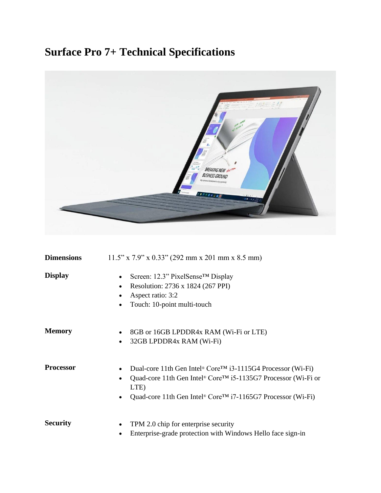## **Surface Pro 7+ Technical Specifications**



| <b>Dimensions</b> | $11.5$ " x 7.9" x 0.33" (292 mm x 201 mm x 8.5 mm)                                                                                                                                                                                                                              |
|-------------------|---------------------------------------------------------------------------------------------------------------------------------------------------------------------------------------------------------------------------------------------------------------------------------|
| <b>Display</b>    | Screen: 12.3" PixelSense <sup>™</sup> Display<br>$\bullet$<br>Resolution: 2736 x 1824 (267 PPI)<br>$\bullet$<br>Aspect ratio: 3:2<br>Touch: 10-point multi-touch                                                                                                                |
| <b>Memory</b>     | 8GB or 16GB LPDDR4x RAM (Wi-Fi or LTE)<br>32GB LPDDR4x RAM (Wi-Fi)<br>$\bullet$                                                                                                                                                                                                 |
| <b>Processor</b>  | Dual-core 11th Gen Intel <sup>®</sup> Core <sup>TM</sup> i3-1115G4 Processor (Wi-Fi)<br>Quad-core 11th Gen Intel® Core™ i5-1135G7 Processor (Wi-Fi or<br>$\bullet$<br>LTE)<br>Quad-core 11th Gen Intel <sup>®</sup> Core <sup>TM</sup> i7-1165G7 Processor (Wi-Fi)<br>$\bullet$ |
| <b>Security</b>   | TPM 2.0 chip for enterprise security<br>٠<br>Enterprise-grade protection with Windows Hello face sign-in<br>٠                                                                                                                                                                   |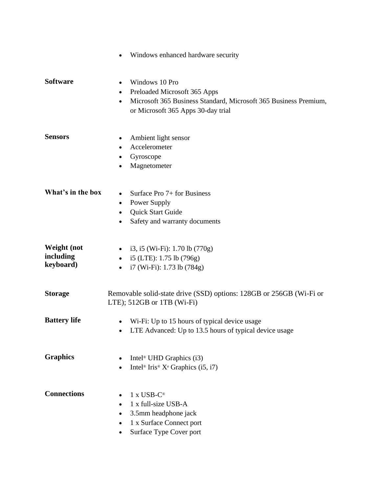|                                              | Windows enhanced hardware security                                                                                                                                         |
|----------------------------------------------|----------------------------------------------------------------------------------------------------------------------------------------------------------------------------|
| <b>Software</b>                              | Windows 10 Pro<br>٠<br>Preloaded Microsoft 365 Apps<br>$\bullet$<br>Microsoft 365 Business Standard, Microsoft 365 Business Premium,<br>or Microsoft 365 Apps 30-day trial |
| <b>Sensors</b>                               | Ambient light sensor<br>$\bullet$<br>Accelerometer<br>$\bullet$<br>Gyroscope<br>٠<br>Magnetometer<br>$\bullet$                                                             |
| What's in the box                            | Surface Pro $7+$ for Business<br>$\bullet$<br>Power Supply<br>$\bullet$<br>Quick Start Guide<br>$\bullet$<br>Safety and warranty documents<br>$\bullet$                    |
| <b>Weight</b> (not<br>including<br>keyboard) | i3, i5 (Wi-Fi): $1.70$ lb $(770g)$<br>i5 (LTE): 1.75 lb (796g)<br>$\bullet$<br>i7 (Wi-Fi): 1.73 lb (784g)                                                                  |
| <b>Storage</b>                               | Removable solid-state drive (SSD) options: 128GB or 256GB (Wi-Fi or<br>LTE); 512GB or 1TB (Wi-Fi)                                                                          |
| <b>Battery life</b>                          | Wi-Fi: Up to 15 hours of typical device usage<br>LTE Advanced: Up to 13.5 hours of typical device usage                                                                    |
| <b>Graphics</b>                              | Intel <sup>®</sup> UHD Graphics $(i3)$<br>Intel <sup>®</sup> Iris <sup>®</sup> $X^e$ Graphics (i5, i7)                                                                     |
| <b>Connections</b>                           | $1 x USB-C$ ®<br>1 x full-size USB-A<br>3.5mm headphone jack<br>$\bullet$<br>1 x Surface Connect port<br>٠<br>Surface Type Cover port                                      |